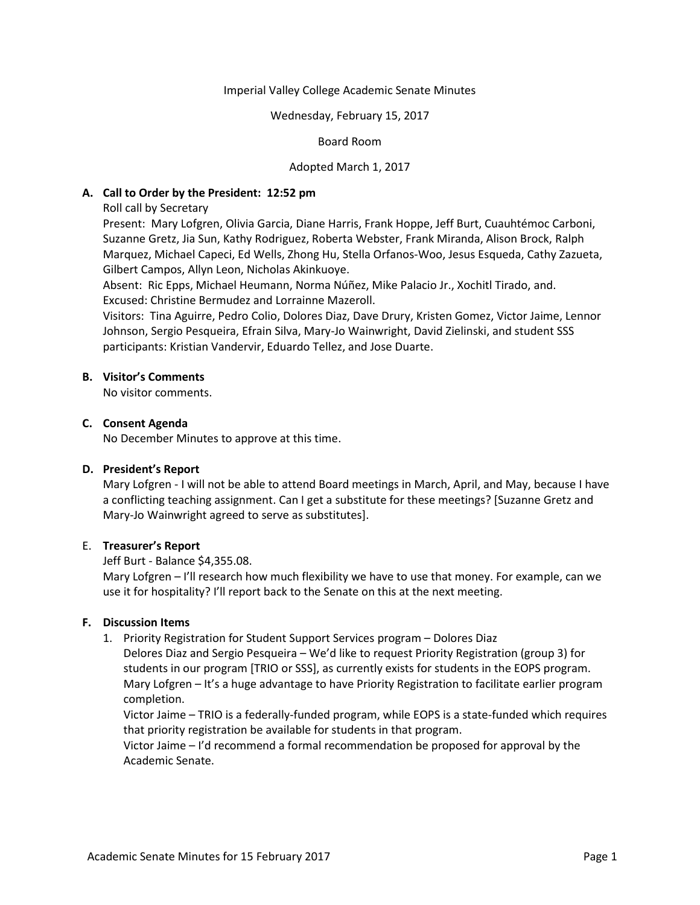### Imperial Valley College Academic Senate Minutes

### Wednesday, February 15, 2017

# Board Room

# Adopted March 1, 2017

# **A. Call to Order by the President: 12:52 pm**

Roll call by Secretary

Present: Mary Lofgren, Olivia Garcia, Diane Harris, Frank Hoppe, Jeff Burt, Cuauhtémoc Carboni, Suzanne Gretz, Jia Sun, Kathy Rodriguez, Roberta Webster, Frank Miranda, Alison Brock, Ralph Marquez, Michael Capeci, Ed Wells, Zhong Hu, Stella Orfanos-Woo, Jesus Esqueda, Cathy Zazueta, Gilbert Campos, Allyn Leon, Nicholas Akinkuoye.

Absent: Ric Epps, Michael Heumann, Norma Núñez, Mike Palacio Jr., Xochitl Tirado, and. Excused: Christine Bermudez and Lorrainne Mazeroll.

Visitors: Tina Aguirre, Pedro Colio, Dolores Diaz, Dave Drury, Kristen Gomez, Victor Jaime, Lennor Johnson, Sergio Pesqueira, Efrain Silva, Mary-Jo Wainwright, David Zielinski, and student SSS participants: Kristian Vandervir, Eduardo Tellez, and Jose Duarte.

### **B. Visitor's Comments**

No visitor comments.

### **C. Consent Agenda**

No December Minutes to approve at this time.

### **D. President's Report**

Mary Lofgren - I will not be able to attend Board meetings in March, April, and May, because I have a conflicting teaching assignment. Can I get a substitute for these meetings? [Suzanne Gretz and Mary-Jo Wainwright agreed to serve as substitutes].

### E. **Treasurer's Report**

### Jeff Burt - Balance \$4,355.08.

Mary Lofgren – I'll research how much flexibility we have to use that money. For example, can we use it for hospitality? I'll report back to the Senate on this at the next meeting.

# **F. Discussion Items**

1. Priority Registration for Student Support Services program – Dolores Diaz

Delores Diaz and Sergio Pesqueira – We'd like to request Priority Registration (group 3) for students in our program [TRIO or SSS], as currently exists for students in the EOPS program. Mary Lofgren – It's a huge advantage to have Priority Registration to facilitate earlier program completion.

Victor Jaime – TRIO is a federally-funded program, while EOPS is a state-funded which requires that priority registration be available for students in that program.

Victor Jaime – I'd recommend a formal recommendation be proposed for approval by the Academic Senate.